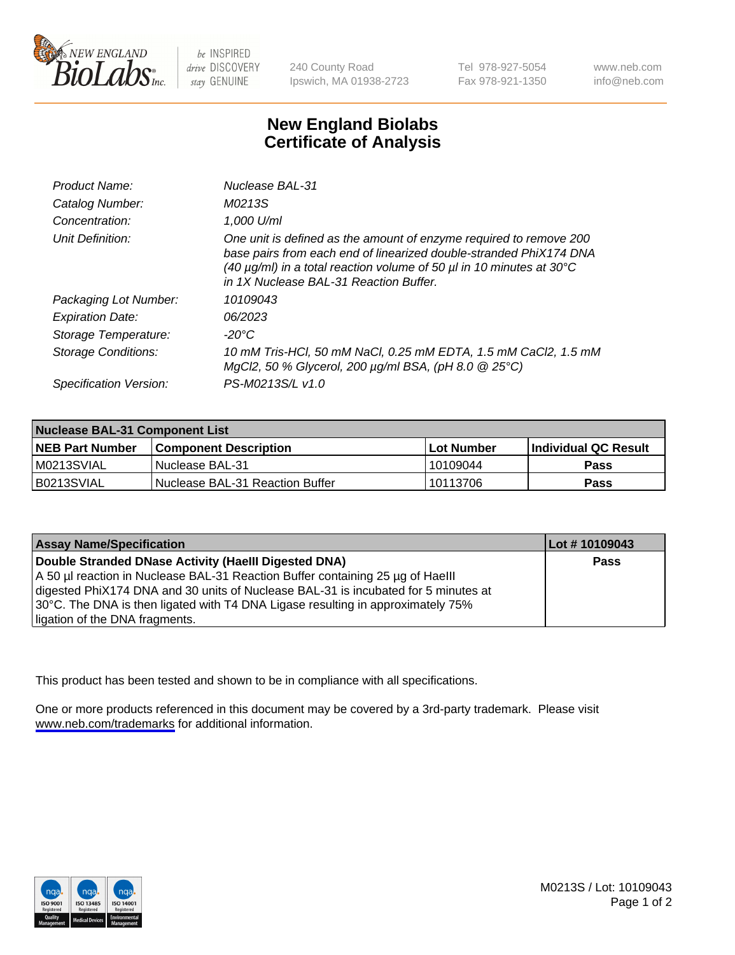

be INSPIRED drive DISCOVERY stay GENUINE

240 County Road Ipswich, MA 01938-2723 Tel 978-927-5054 Fax 978-921-1350

www.neb.com info@neb.com

## **New England Biolabs Certificate of Analysis**

| Product Name:              | Nuclease BAL-31                                                                                                                                                                                                                                                                |
|----------------------------|--------------------------------------------------------------------------------------------------------------------------------------------------------------------------------------------------------------------------------------------------------------------------------|
| Catalog Number:            | M0213S                                                                                                                                                                                                                                                                         |
| Concentration:             | 1,000 U/ml                                                                                                                                                                                                                                                                     |
| Unit Definition:           | One unit is defined as the amount of enzyme required to remove 200<br>base pairs from each end of linearized double-stranded PhiX174 DNA<br>(40 $\mu$ g/ml) in a total reaction volume of 50 $\mu$ l in 10 minutes at 30 $\degree$ C<br>in 1X Nuclease BAL-31 Reaction Buffer. |
| Packaging Lot Number:      | 10109043                                                                                                                                                                                                                                                                       |
| <b>Expiration Date:</b>    | 06/2023                                                                                                                                                                                                                                                                        |
| Storage Temperature:       | $-20^{\circ}$ C                                                                                                                                                                                                                                                                |
| <b>Storage Conditions:</b> | 10 mM Tris-HCl, 50 mM NaCl, 0.25 mM EDTA, 1.5 mM CaCl2, 1.5 mM<br>MgCl2, 50 % Glycerol, 200 $\mu$ g/ml BSA, (pH 8.0 $\circledR$ 25°C)                                                                                                                                          |
| Specification Version:     | PS-M0213S/L v1.0                                                                                                                                                                                                                                                               |

| Nuclease BAL-31 Component List |                                   |              |                             |  |
|--------------------------------|-----------------------------------|--------------|-----------------------------|--|
| <b>NEB Part Number</b>         | <b>Component Description</b>      | l Lot Number | <b>Individual QC Result</b> |  |
| M0213SVIAL                     | l Nuclease BAL-31                 | 10109044     | <b>Pass</b>                 |  |
| IB0213SVIAL                    | l Nuclease BAL-31 Reaction Buffer | 10113706     | Pass                        |  |

| <b>Assay Name/Specification</b>                                                    | Lot # 10109043 |
|------------------------------------------------------------------------------------|----------------|
| Double Stranded DNase Activity (Haelll Digested DNA)                               | Pass           |
| A 50 µl reaction in Nuclease BAL-31 Reaction Buffer containing 25 µg of Haelll     |                |
| digested PhiX174 DNA and 30 units of Nuclease BAL-31 is incubated for 5 minutes at |                |
| 30°C. The DNA is then ligated with T4 DNA Ligase resulting in approximately 75%    |                |
| ligation of the DNA fragments.                                                     |                |

This product has been tested and shown to be in compliance with all specifications.

One or more products referenced in this document may be covered by a 3rd-party trademark. Please visit <www.neb.com/trademarks>for additional information.